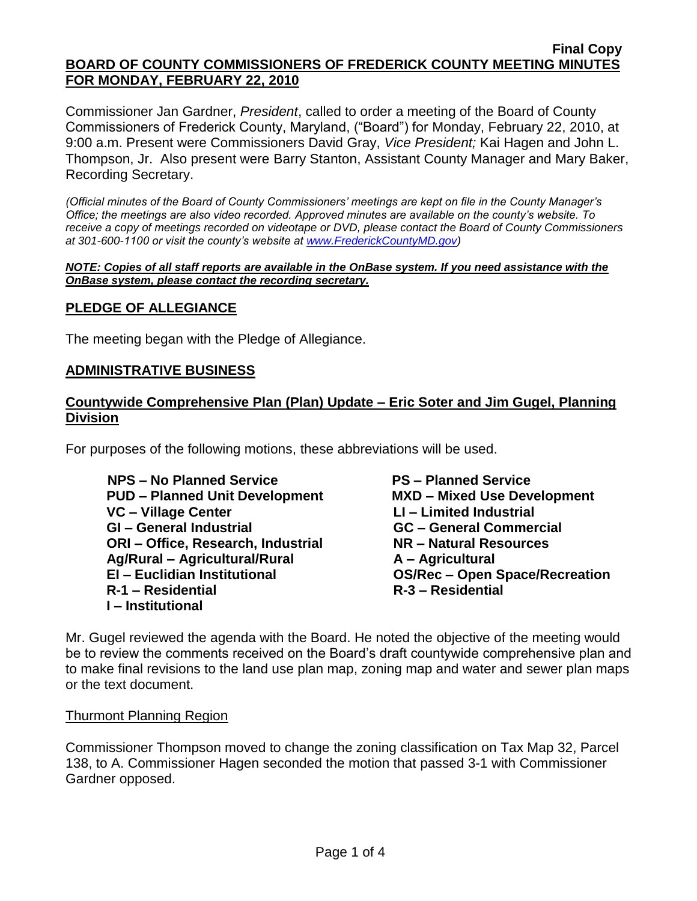#### **Final Copy BOARD OF COUNTY COMMISSIONERS OF FREDERICK COUNTY MEETING MINUTES FOR MONDAY, FEBRUARY 22, 2010**

Commissioner Jan Gardner, *President*, called to order a meeting of the Board of County Commissioners of Frederick County, Maryland, ("Board") for Monday, February 22, 2010, at 9:00 a.m. Present were Commissioners David Gray, *Vice President;* Kai Hagen and John L. Thompson, Jr. Also present were Barry Stanton, Assistant County Manager and Mary Baker, Recording Secretary.

*(Official minutes of the Board of County Commissioners' meetings are kept on file in the County Manager's Office; the meetings are also video recorded. Approved minutes are available on the county's website. To receive a copy of meetings recorded on videotape or DVD, please contact the Board of County Commissioners at 301-600-1100 or visit the county's website at [www.FrederickCountyMD.gov\)](http://www.frederickcountymd.gov/)*

#### *NOTE: Copies of all staff reports are available in the OnBase system. If you need assistance with the OnBase system, please contact the recording secretary.*

## **PLEDGE OF ALLEGIANCE**

The meeting began with the Pledge of Allegiance.

## **ADMINISTRATIVE BUSINESS**

## **Countywide Comprehensive Plan (Plan) Update – Eric Soter and Jim Gugel, Planning Division**

For purposes of the following motions, these abbreviations will be used.

 **NPS – No Planned Service PS – Planned Service PUD – Planned Unit Development MXD – Mixed Use Development VC – Village Center LI – Limited Industrial GI – General Industrial GC – General Commercial ORI – Office, Research, Industrial NR – Natural Resources Ag/Rural – Agricultural/Rural A – Agricultural EI – Euclidian Institutional OS/Rec – Open Space/Recreation R-1 – Residential R-3 – Residential I – Institutional**

Mr. Gugel reviewed the agenda with the Board. He noted the objective of the meeting would be to review the comments received on the Board's draft countywide comprehensive plan and to make final revisions to the land use plan map, zoning map and water and sewer plan maps or the text document.

#### Thurmont Planning Region

Commissioner Thompson moved to change the zoning classification on Tax Map 32, Parcel 138, to A. Commissioner Hagen seconded the motion that passed 3-1 with Commissioner Gardner opposed.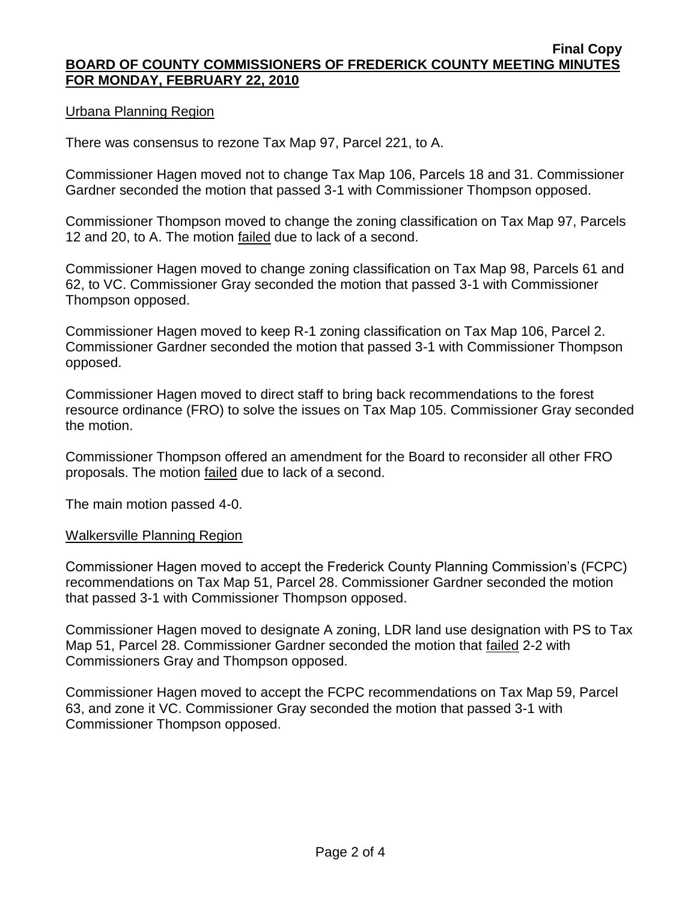## Urbana Planning Region

There was consensus to rezone Tax Map 97, Parcel 221, to A.

Commissioner Hagen moved not to change Tax Map 106, Parcels 18 and 31. Commissioner Gardner seconded the motion that passed 3-1 with Commissioner Thompson opposed.

Commissioner Thompson moved to change the zoning classification on Tax Map 97, Parcels 12 and 20, to A. The motion failed due to lack of a second.

Commissioner Hagen moved to change zoning classification on Tax Map 98, Parcels 61 and 62, to VC. Commissioner Gray seconded the motion that passed 3-1 with Commissioner Thompson opposed.

Commissioner Hagen moved to keep R-1 zoning classification on Tax Map 106, Parcel 2. Commissioner Gardner seconded the motion that passed 3-1 with Commissioner Thompson opposed.

Commissioner Hagen moved to direct staff to bring back recommendations to the forest resource ordinance (FRO) to solve the issues on Tax Map 105. Commissioner Gray seconded the motion.

Commissioner Thompson offered an amendment for the Board to reconsider all other FRO proposals. The motion failed due to lack of a second.

The main motion passed 4-0.

## Walkersville Planning Region

Commissioner Hagen moved to accept the Frederick County Planning Commission's (FCPC) recommendations on Tax Map 51, Parcel 28. Commissioner Gardner seconded the motion that passed 3-1 with Commissioner Thompson opposed.

Commissioner Hagen moved to designate A zoning, LDR land use designation with PS to Tax Map 51, Parcel 28. Commissioner Gardner seconded the motion that failed 2-2 with Commissioners Gray and Thompson opposed.

Commissioner Hagen moved to accept the FCPC recommendations on Tax Map 59, Parcel 63, and zone it VC. Commissioner Gray seconded the motion that passed 3-1 with Commissioner Thompson opposed.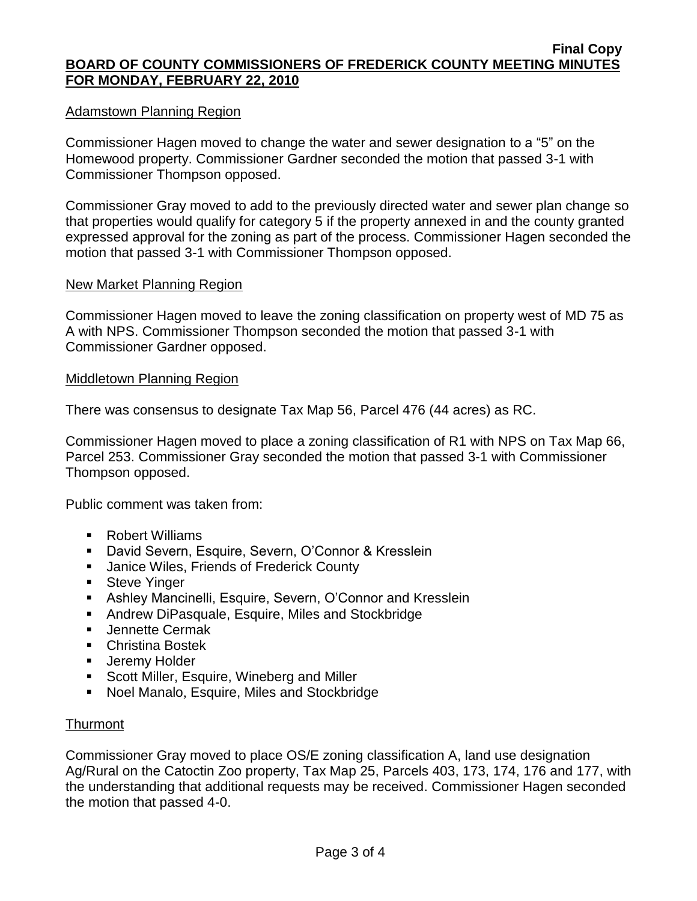## Adamstown Planning Region

Commissioner Hagen moved to change the water and sewer designation to a "5" on the Homewood property. Commissioner Gardner seconded the motion that passed 3-1 with Commissioner Thompson opposed.

Commissioner Gray moved to add to the previously directed water and sewer plan change so that properties would qualify for category 5 if the property annexed in and the county granted expressed approval for the zoning as part of the process. Commissioner Hagen seconded the motion that passed 3-1 with Commissioner Thompson opposed.

### New Market Planning Region

Commissioner Hagen moved to leave the zoning classification on property west of MD 75 as A with NPS. Commissioner Thompson seconded the motion that passed 3-1 with Commissioner Gardner opposed.

#### Middletown Planning Region

There was consensus to designate Tax Map 56, Parcel 476 (44 acres) as RC.

Commissioner Hagen moved to place a zoning classification of R1 with NPS on Tax Map 66, Parcel 253. Commissioner Gray seconded the motion that passed 3-1 with Commissioner Thompson opposed.

Public comment was taken from:

- Robert Williams
- David Severn, Esquire, Severn, O'Connor & Kresslein
- **Janice Wiles, Friends of Frederick County**
- **Steve Yinger**
- Ashley Mancinelli, Esquire, Severn, O'Connor and Kresslein
- **Andrew DiPasquale, Esquire, Miles and Stockbridge**
- **Jennette Cermak**
- Christina Bostek
- **Jeremy Holder**
- **Scott Miller, Esquire, Wineberg and Miller**
- Noel Manalo, Esquire, Miles and Stockbridge

## Thurmont

Commissioner Gray moved to place OS/E zoning classification A, land use designation Ag/Rural on the Catoctin Zoo property, Tax Map 25, Parcels 403, 173, 174, 176 and 177, with the understanding that additional requests may be received. Commissioner Hagen seconded the motion that passed 4-0.